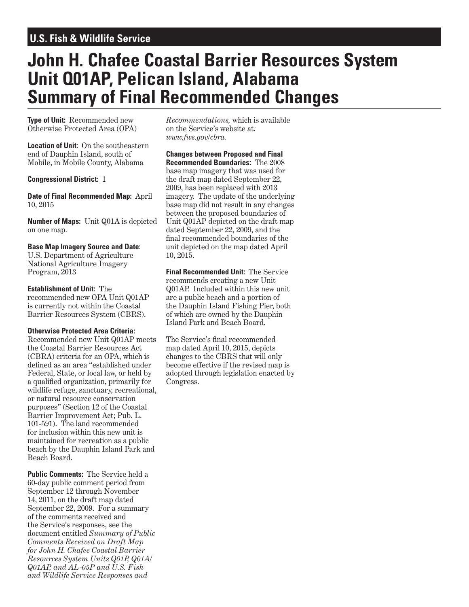## **U.S. Fish & Wildlife Service**

# **John H. Chafee Coastal Barrier Resources System Unit Q01AP, Pelican Island, Alabama Summary of Final Recommended Changes**

**Type of Unit:** Recommended new Otherwise Protected Area (OPA)

**Location of Unit:** On the southeastern end of Dauphin Island, south of Mobile, in Mobile County, Alabama

**Congressional District:** 1

**Date of Final Recommended Map:** April 10, 2015

**Number of Maps:** Unit Q01A is depicted on one map.

### **Base Map Imagery Source and Date:**

U.S. Department of Agriculture National Agriculture Imagery Program, 2013

#### **Establishment of Unit:** The

recommended new OPA Unit Q01AP is currently not within the Coastal Barrier Resources System (CBRS).

#### **Otherwise Protected Area Criteria:**

Recommended new Unit Q01AP meets the Coastal Barrier Resources Act (CBRA) criteria for an OPA, which is defined as an area "established under Federal, State, or local law, or held by a qualified organization, primarily for wildlife refuge, sanctuary, recreational, or natural resource conservation purposes" (Section 12 of the Coastal Barrier Improvement Act; Pub. L. 101-591). The land recommended for inclusion within this new unit is maintained for recreation as a public beach by the Dauphin Island Park and Beach Board.

**Public Comments:** The Service held a 60-day public comment period from September 12 through November 14, 2011, on the draft map dated September 22, 2009. For a summary of the comments received and the Service's responses, see the document entitled *Summary of Public Comments Received on Draft Map for John H. Chafee Coastal Barrier Resources System Units Q01P, Q01A/ Q01AP, and AL-05P and U.S. Fish and Wildlife Service Responses and* 

*Recommendations,* which is available on the Service's website at*: www.fws.gov/cbra.*

**Changes between Proposed and Final Recommended Boundaries:** The 2008 base map imagery that was used for the draft map dated September 22, 2009, has been replaced with 2013 imagery. The update of the underlying base map did not result in any changes between the proposed boundaries of Unit Q01AP depicted on the draft map dated September 22, 2009, and the final recommended boundaries of the unit depicted on the map dated April 10, 2015.

**Final Recommended Unit:** The Service recommends creating a new Unit Q01AP. Included within this new unit are a public beach and a portion of the Dauphin Island Fishing Pier, both of which are owned by the Dauphin Island Park and Beach Board.

The Service's final recommended map dated April 10, 2015, depicts changes to the CBRS that will only become effective if the revised map is adopted through legislation enacted by Congress.